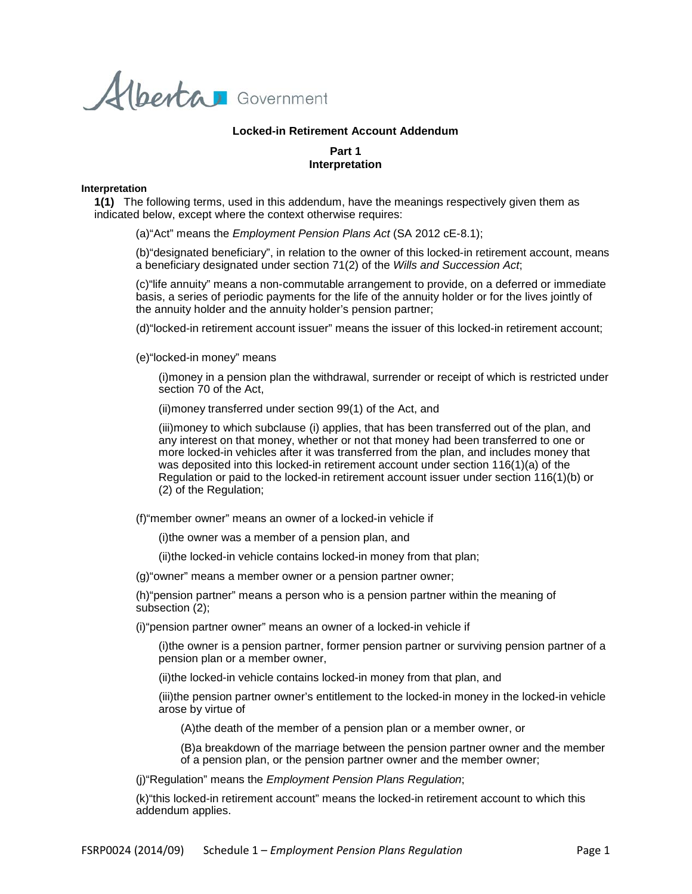Alberta Government

## **Locked-in Retirement Account Addendum**

# **Part 1 Interpretation**

#### **Interpretation**

**1(1)** The following terms, used in this addendum, have the meanings respectively given them as indicated below, except where the context otherwise requires:

(a)"Act" means the *Employment Pension Plans Act* (SA 2012 cE-8.1);

(b)"designated beneficiary", in relation to the owner of this locked-in retirement account, means a beneficiary designated under section 71(2) of the *Wills and Succession Act*;

(c)"life annuity" means a non-commutable arrangement to provide, on a deferred or immediate basis, a series of periodic payments for the life of the annuity holder or for the lives jointly of the annuity holder and the annuity holder's pension partner;

(d)"locked-in retirement account issuer" means the issuer of this locked-in retirement account;

(e)"locked-in money" means

(i)money in a pension plan the withdrawal, surrender or receipt of which is restricted under section 70 of the Act,

(ii)money transferred under section 99(1) of the Act, and

(iii)money to which subclause (i) applies, that has been transferred out of the plan, and any interest on that money, whether or not that money had been transferred to one or more locked-in vehicles after it was transferred from the plan, and includes money that was deposited into this locked-in retirement account under section 116(1)(a) of the Regulation or paid to the locked-in retirement account issuer under section 116(1)(b) or (2) of the Regulation;

(f)"member owner" means an owner of a locked-in vehicle if

(i)the owner was a member of a pension plan, and

(ii)the locked-in vehicle contains locked-in money from that plan;

(g)"owner" means a member owner or a pension partner owner;

(h)"pension partner" means a person who is a pension partner within the meaning of subsection (2);

(i)"pension partner owner" means an owner of a locked-in vehicle if

(i)the owner is a pension partner, former pension partner or surviving pension partner of a pension plan or a member owner,

(ii)the locked-in vehicle contains locked-in money from that plan, and

(iii)the pension partner owner's entitlement to the locked-in money in the locked-in vehicle arose by virtue of

(A)the death of the member of a pension plan or a member owner, or

(B)a breakdown of the marriage between the pension partner owner and the member of a pension plan, or the pension partner owner and the member owner;

(j)"Regulation" means the *Employment Pension Plans Regulation*;

(k)"this locked-in retirement account" means the locked-in retirement account to which this addendum applies.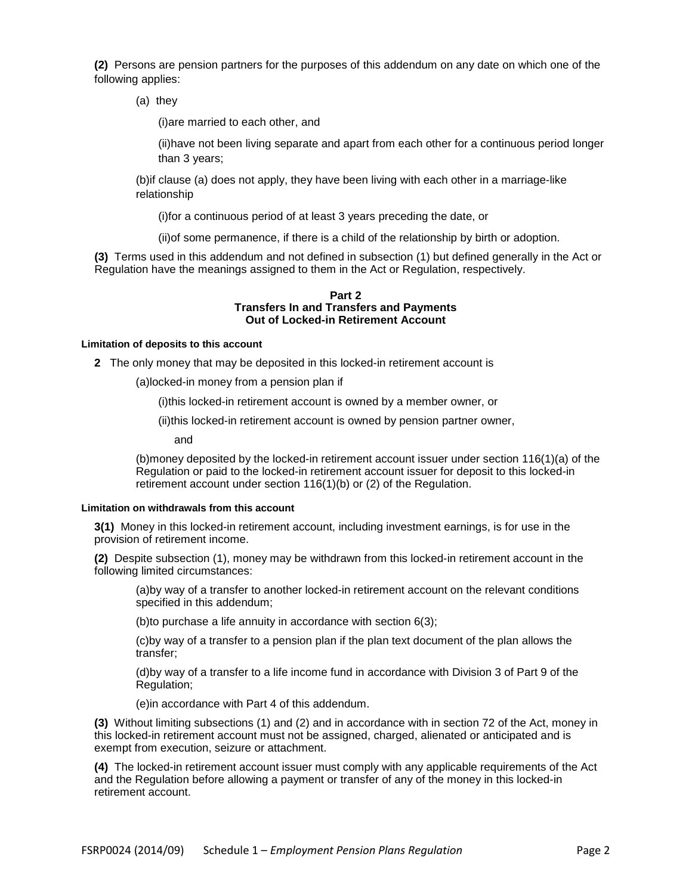**(2)** Persons are pension partners for the purposes of this addendum on any date on which one of the following applies:

(a) they

(i)are married to each other, and

(ii)have not been living separate and apart from each other for a continuous period longer than 3 years;

(b)if clause (a) does not apply, they have been living with each other in a marriage-like relationship

(i)for a continuous period of at least 3 years preceding the date, or

(ii)of some permanence, if there is a child of the relationship by birth or adoption.

**(3)** Terms used in this addendum and not defined in subsection (1) but defined generally in the Act or Regulation have the meanings assigned to them in the Act or Regulation, respectively.

#### **Part 2 Transfers In and Transfers and Payments Out of Locked-in Retirement Account**

### **Limitation of deposits to this account**

**2** The only money that may be deposited in this locked-in retirement account is

(a)locked-in money from a pension plan if

(i)this locked-in retirement account is owned by a member owner, or

(ii)this locked-in retirement account is owned by pension partner owner,

and

(b)money deposited by the locked-in retirement account issuer under section 116(1)(a) of the Regulation or paid to the locked-in retirement account issuer for deposit to this locked-in retirement account under section 116(1)(b) or (2) of the Regulation.

### **Limitation on withdrawals from this account**

**3(1)** Money in this locked-in retirement account, including investment earnings, is for use in the provision of retirement income.

**(2)** Despite subsection (1), money may be withdrawn from this locked-in retirement account in the following limited circumstances:

(a)by way of a transfer to another locked-in retirement account on the relevant conditions specified in this addendum;

(b)to purchase a life annuity in accordance with section 6(3);

(c)by way of a transfer to a pension plan if the plan text document of the plan allows the transfer;

(d)by way of a transfer to a life income fund in accordance with Division 3 of Part 9 of the Regulation;

(e)in accordance with Part 4 of this addendum.

**(3)** Without limiting subsections (1) and (2) and in accordance with in section 72 of the Act, money in this locked-in retirement account must not be assigned, charged, alienated or anticipated and is exempt from execution, seizure or attachment.

**(4)** The locked-in retirement account issuer must comply with any applicable requirements of the Act and the Regulation before allowing a payment or transfer of any of the money in this locked-in retirement account.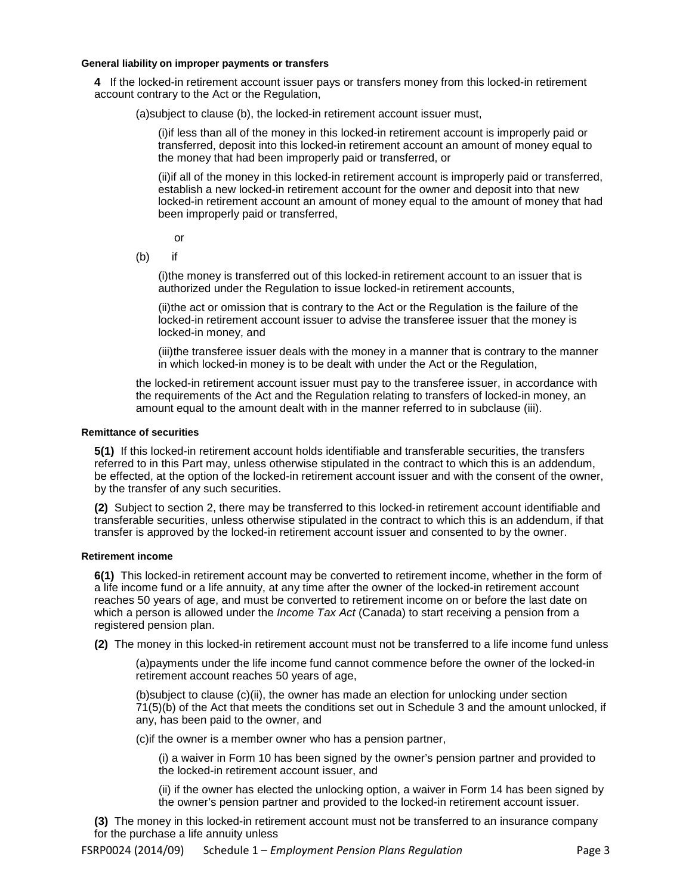#### **General liability on improper payments or transfers**

**4** If the locked-in retirement account issuer pays or transfers money from this locked-in retirement account contrary to the Act or the Regulation,

(a)subject to clause (b), the locked-in retirement account issuer must,

(i)if less than all of the money in this locked-in retirement account is improperly paid or transferred, deposit into this locked-in retirement account an amount of money equal to the money that had been improperly paid or transferred, or

(ii)if all of the money in this locked-in retirement account is improperly paid or transferred, establish a new locked-in retirement account for the owner and deposit into that new locked-in retirement account an amount of money equal to the amount of money that had been improperly paid or transferred,

or

(b) if

(i)the money is transferred out of this locked-in retirement account to an issuer that is authorized under the Regulation to issue locked-in retirement accounts,

(ii)the act or omission that is contrary to the Act or the Regulation is the failure of the locked-in retirement account issuer to advise the transferee issuer that the money is locked-in money, and

(iii)the transferee issuer deals with the money in a manner that is contrary to the manner in which locked-in money is to be dealt with under the Act or the Regulation,

the locked-in retirement account issuer must pay to the transferee issuer, in accordance with the requirements of the Act and the Regulation relating to transfers of locked-in money, an amount equal to the amount dealt with in the manner referred to in subclause (iii).

### **Remittance of securities**

**5(1)** If this locked-in retirement account holds identifiable and transferable securities, the transfers referred to in this Part may, unless otherwise stipulated in the contract to which this is an addendum, be effected, at the option of the locked-in retirement account issuer and with the consent of the owner, by the transfer of any such securities.

**(2)** Subject to section 2, there may be transferred to this locked-in retirement account identifiable and transferable securities, unless otherwise stipulated in the contract to which this is an addendum, if that transfer is approved by the locked-in retirement account issuer and consented to by the owner.

### **Retirement income**

**6(1)** This locked-in retirement account may be converted to retirement income, whether in the form of a life income fund or a life annuity, at any time after the owner of the locked-in retirement account reaches 50 years of age, and must be converted to retirement income on or before the last date on which a person is allowed under the *Income Tax Act* (Canada) to start receiving a pension from a registered pension plan.

**(2)** The money in this locked-in retirement account must not be transferred to a life income fund unless

(a)payments under the life income fund cannot commence before the owner of the locked-in retirement account reaches 50 years of age,

(b)subject to clause (c)(ii), the owner has made an election for unlocking under section 71(5)(b) of the Act that meets the conditions set out in Schedule 3 and the amount unlocked, if any, has been paid to the owner, and

(c)if the owner is a member owner who has a pension partner,

(i) a waiver in Form 10 has been signed by the owner's pension partner and provided to the locked-in retirement account issuer, and

(ii) if the owner has elected the unlocking option, a waiver in Form 14 has been signed by the owner's pension partner and provided to the locked-in retirement account issuer.

**(3)** The money in this locked-in retirement account must not be transferred to an insurance company for the purchase a life annuity unless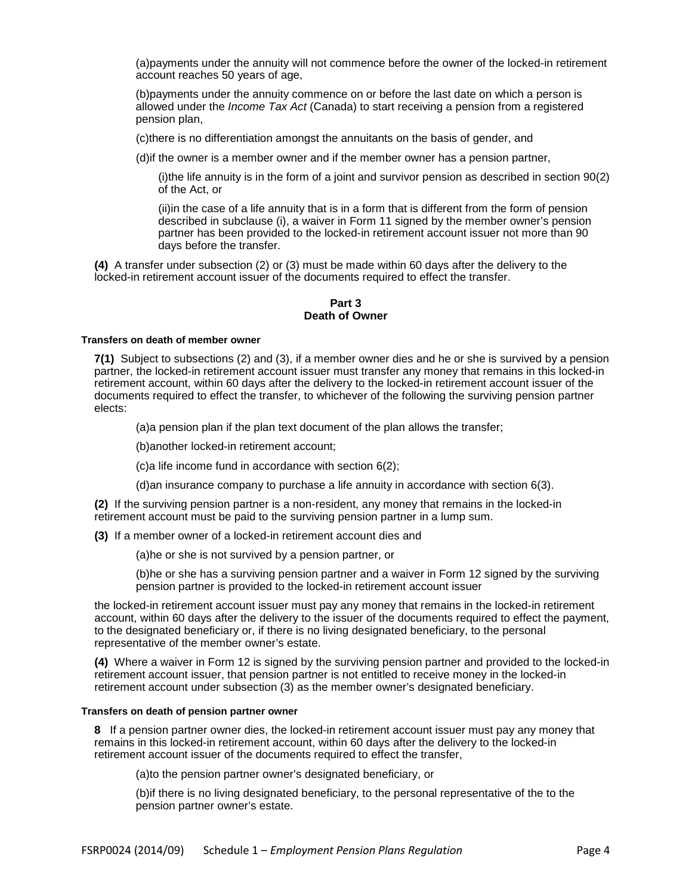(a)payments under the annuity will not commence before the owner of the locked-in retirement account reaches 50 years of age,

(b)payments under the annuity commence on or before the last date on which a person is allowed under the *Income Tax Act* (Canada) to start receiving a pension from a registered pension plan,

(c)there is no differentiation amongst the annuitants on the basis of gender, and

(d)if the owner is a member owner and if the member owner has a pension partner,

(i)the life annuity is in the form of a joint and survivor pension as described in section 90(2) of the Act, or

(ii)in the case of a life annuity that is in a form that is different from the form of pension described in subclause (i), a waiver in Form 11 signed by the member owner's pension partner has been provided to the locked-in retirement account issuer not more than 90 days before the transfer.

**(4)** A transfer under subsection (2) or (3) must be made within 60 days after the delivery to the locked-in retirement account issuer of the documents required to effect the transfer.

# **Part 3 Death of Owner**

### **Transfers on death of member owner**

**7(1)** Subject to subsections (2) and (3), if a member owner dies and he or she is survived by a pension partner, the locked-in retirement account issuer must transfer any money that remains in this locked-in retirement account, within 60 days after the delivery to the locked-in retirement account issuer of the documents required to effect the transfer, to whichever of the following the surviving pension partner elects:

(a)a pension plan if the plan text document of the plan allows the transfer;

(b)another locked-in retirement account;

(c)a life income fund in accordance with section 6(2);

(d)an insurance company to purchase a life annuity in accordance with section 6(3).

**(2)** If the surviving pension partner is a non-resident, any money that remains in the locked-in retirement account must be paid to the surviving pension partner in a lump sum.

**(3)** If a member owner of a locked-in retirement account dies and

(a)he or she is not survived by a pension partner, or

(b)he or she has a surviving pension partner and a waiver in Form 12 signed by the surviving pension partner is provided to the locked-in retirement account issuer

the locked-in retirement account issuer must pay any money that remains in the locked-in retirement account, within 60 days after the delivery to the issuer of the documents required to effect the payment, to the designated beneficiary or, if there is no living designated beneficiary, to the personal representative of the member owner's estate.

**(4)** Where a waiver in Form 12 is signed by the surviving pension partner and provided to the locked-in retirement account issuer, that pension partner is not entitled to receive money in the locked-in retirement account under subsection (3) as the member owner's designated beneficiary.

# **Transfers on death of pension partner owner**

**8** If a pension partner owner dies, the locked-in retirement account issuer must pay any money that remains in this locked-in retirement account, within 60 days after the delivery to the locked-in retirement account issuer of the documents required to effect the transfer,

(a)to the pension partner owner's designated beneficiary, or

(b)if there is no living designated beneficiary, to the personal representative of the to the pension partner owner's estate.